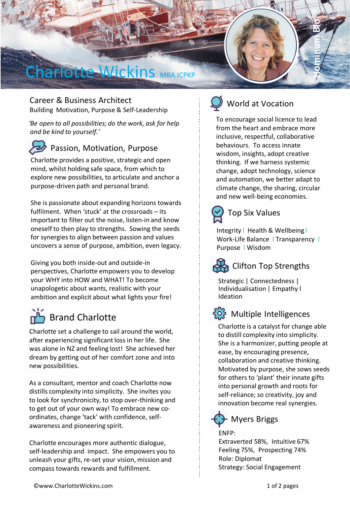

Career & Business Architect Building Motivation, Purpose & Self-Leadership

*'Be open to all possibilities; do the work, ask for help and be kind to yourself.'*

Passion, Motivation, Purpose Charlotte provides a positive, strategic and open mind, whilst holding safe space, from which to explore new possibilities, to articulate and anchor a

purpose-driven path and personal brand.

She is passionate about expanding horizons towards fulfilment. When 'stuck' at the crossroads – its important to filter out the noise, listen-in and know oneself to then play to strengths. Sowing the seeds for synergies to align between passion and values uncovers a sense of purpose, ambition, even legacy.

Giving you both inside-out and outside-in perspectives, Charlotte empowers you to develop your WHY into HOW and WHAT! To become unapologetic about wants, realistic with your ambition and explicit about what lights your fire!

# **Brand Charlotte**

Charlotte set a challenge to sail around the world, after experiencing significant loss in her life. She was alone in NZ and feeling lost! She achieved her dream by getting out of her comfort zone and into new possibilities.

As a consultant, mentor and coach Charlotte now distills complexity into simplicity. She invites you to look for synchronicity, to stop over-thinking and to get out of your own way! To embrace new coordinates, change 'tack' with confidence, selfawareness and pioneering spirit.

Charlotte encourages more authentic dialogue, self-leadership and impact. She empowers you to unleash your gifts, re-set your vision, mission and compass towards rewards and fulfillment.



# World at Vocation

To encourage social licence to lead from the heart and embrace more inclusive, respectful, collaborative behaviours. To access innate wisdom, insights, adopt creative thinking. If we harness systemic change, adopt technology, science and automation, we better adapt to climate change, the sharing, circular and new well-being economies.



Integrity l Health & Wellbeing l Work-Life Balance | Transparency | Purpose l Wisdom



# Clifton Top Strengths

Strategic | Connectedness | Individualisation | Empathy l Ideation



#### Multiple Intelligences

Charlotte is a catalyst for change able to distill complexity into simplicity. She is a harmonizer, putting people at ease, by encouraging presence, collaboration and creative thinking. Motivated by purpose, she sows seeds for others to 'plant' their innate gifts into personal growth and roots for self-reliance; so creativity, joy and innovation become real synergies.



### Myers Briggs

ENFP:

Extraverted 58%, Intuitive 67% Feeling 75%, Prospecting 74% Role: Diplomat Strategy: Social Engagement